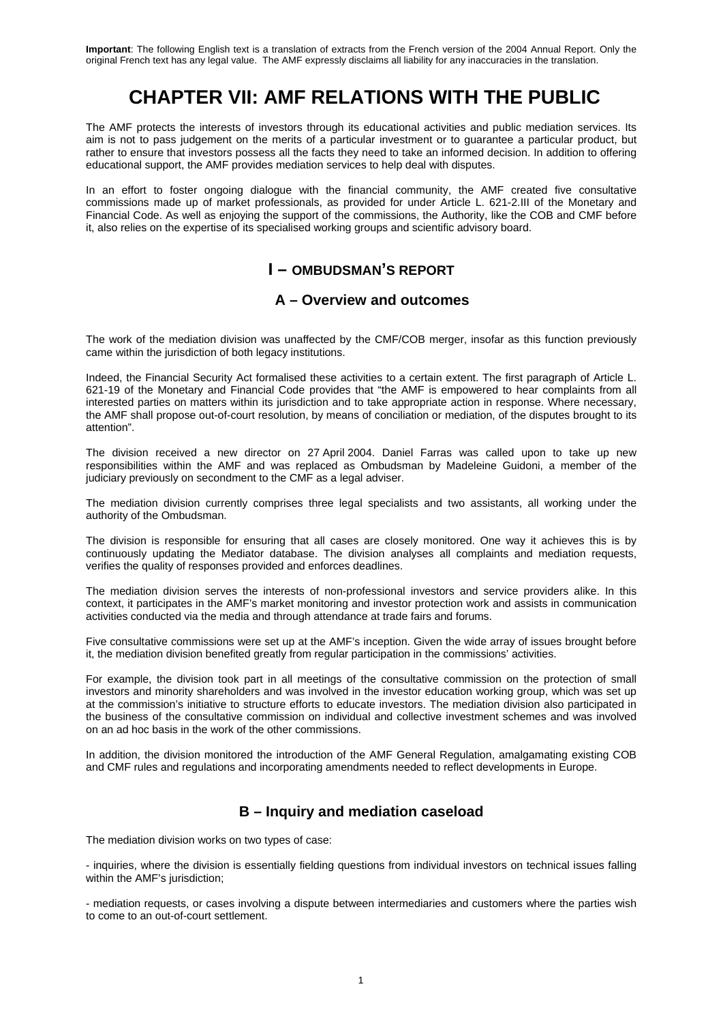# **CHAPTER VII: AMF RELATIONS WITH THE PUBLIC**

The AMF protects the interests of investors through its educational activities and public mediation services. Its aim is not to pass judgement on the merits of a particular investment or to guarantee a particular product, but rather to ensure that investors possess all the facts they need to take an informed decision. In addition to offering educational support, the AMF provides mediation services to help deal with disputes.

In an effort to foster ongoing dialogue with the financial community, the AMF created five consultative commissions made up of market professionals, as provided for under Article L. 621-2.III of the Monetary and Financial Code. As well as enjoying the support of the commissions, the Authority, like the COB and CMF before it, also relies on the expertise of its specialised working groups and scientific advisory board.

## **I – OMBUDSMAN'S REPORT**

## **A – Overview and outcomes**

The work of the mediation division was unaffected by the CMF/COB merger, insofar as this function previously came within the jurisdiction of both legacy institutions.

Indeed, the Financial Security Act formalised these activities to a certain extent. The first paragraph of Article L. 621-19 of the Monetary and Financial Code provides that "the AMF is empowered to hear complaints from all interested parties on matters within its jurisdiction and to take appropriate action in response. Where necessary, the AMF shall propose out-of-court resolution, by means of conciliation or mediation, of the disputes brought to its attention".

The division received a new director on 27 April 2004. Daniel Farras was called upon to take up new responsibilities within the AMF and was replaced as Ombudsman by Madeleine Guidoni, a member of the judiciary previously on secondment to the CMF as a legal adviser.

The mediation division currently comprises three legal specialists and two assistants, all working under the authority of the Ombudsman.

The division is responsible for ensuring that all cases are closely monitored. One way it achieves this is by continuously updating the Mediator database. The division analyses all complaints and mediation requests, verifies the quality of responses provided and enforces deadlines.

The mediation division serves the interests of non-professional investors and service providers alike. In this context, it participates in the AMF's market monitoring and investor protection work and assists in communication activities conducted via the media and through attendance at trade fairs and forums.

Five consultative commissions were set up at the AMF's inception. Given the wide array of issues brought before it, the mediation division benefited greatly from regular participation in the commissions' activities.

For example, the division took part in all meetings of the consultative commission on the protection of small investors and minority shareholders and was involved in the investor education working group, which was set up at the commission's initiative to structure efforts to educate investors. The mediation division also participated in the business of the consultative commission on individual and collective investment schemes and was involved on an ad hoc basis in the work of the other commissions.

In addition, the division monitored the introduction of the AMF General Regulation, amalgamating existing COB and CMF rules and regulations and incorporating amendments needed to reflect developments in Europe.

## **B – Inquiry and mediation caseload**

The mediation division works on two types of case:

- inquiries, where the division is essentially fielding questions from individual investors on technical issues falling within the AMF's jurisdiction;

- mediation requests, or cases involving a dispute between intermediaries and customers where the parties wish to come to an out-of-court settlement.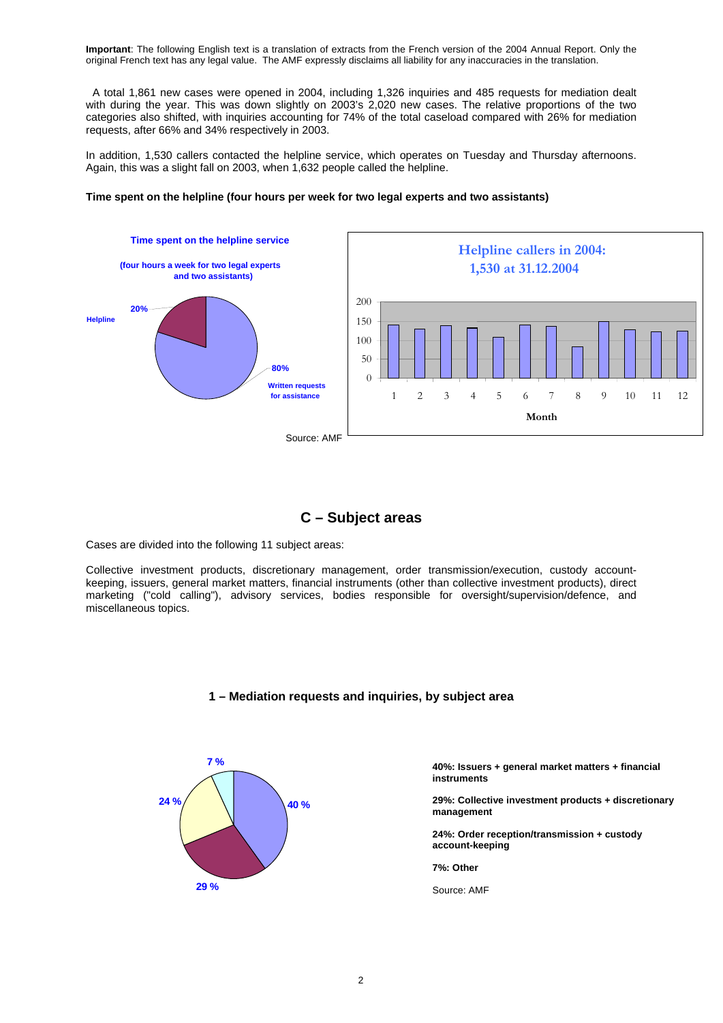A total 1,861 new cases were opened in 2004, including 1,326 inquiries and 485 requests for mediation dealt with during the year. This was down slightly on 2003's 2,020 new cases. The relative proportions of the two categories also shifted, with inquiries accounting for 74% of the total caseload compared with 26% for mediation requests, after 66% and 34% respectively in 2003.

In addition, 1,530 callers contacted the helpline service, which operates on Tuesday and Thursday afternoons. Again, this was a slight fall on 2003, when 1,632 people called the helpline.

### **Time spent on the helpline (four hours per week for two legal experts and two assistants)**



## **C – Subject areas**

Cases are divided into the following 11 subject areas:

Collective investment products, discretionary management, order transmission/execution, custody accountkeeping, issuers, general market matters, financial instruments (other than collective investment products), direct marketing ("cold calling"), advisory services, bodies responsible for oversight/supervision/defence, and miscellaneous topics.





#### **40%: Issuers + general market matters + financial instruments**

**29%: Collective investment products + discretionary management** 

**24%: Order reception/transmission + custody account-keeping** 

**7%: Other** 

Source: AMF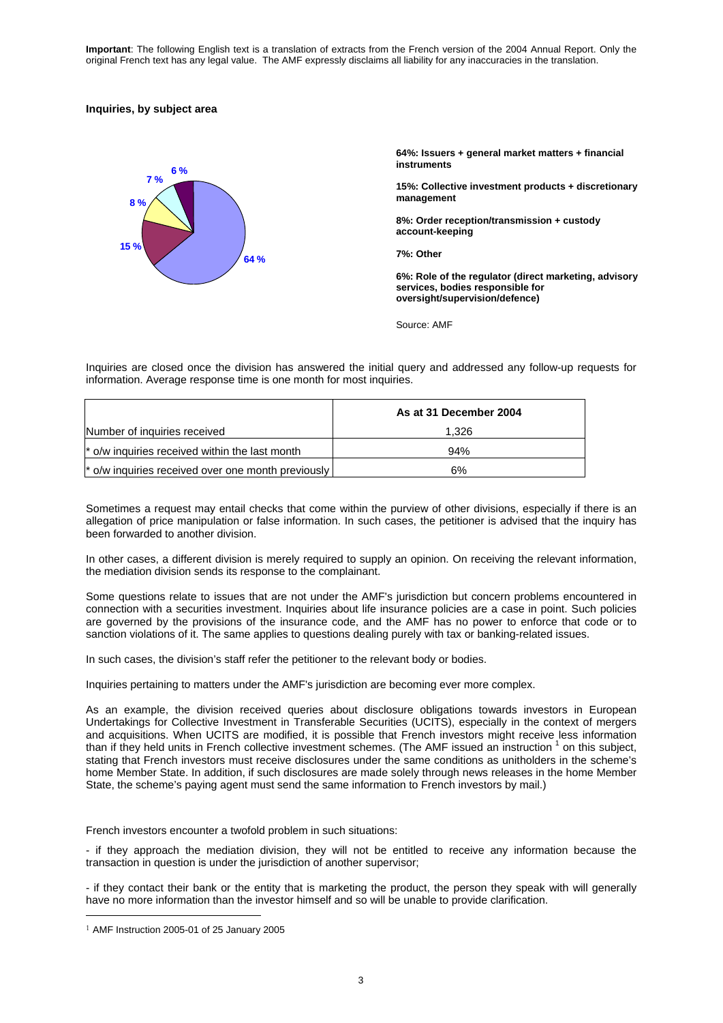### **Inquiries, by subject area**



**64%: Issuers + general market matters + financial instruments** 

**15%: Collective investment products + discretionary management** 

**8%: Order reception/transmission + custody account-keeping** 

**7%: Other** 

**6%: Role of the regulator (direct marketing, advisory services, bodies responsible for oversight/supervision/defence)** 

Source: AMF

Inquiries are closed once the division has answered the initial query and addressed any follow-up requests for information. Average response time is one month for most inquiries.

|                                                            | As at 31 December 2004 |
|------------------------------------------------------------|------------------------|
| Number of inquiries received                               | 1.326                  |
| $\mathsf{\r}$ o/w inquiries received within the last month | 94%                    |
| * o/w inquiries received over one month previously         | 6%                     |

Sometimes a request may entail checks that come within the purview of other divisions, especially if there is an allegation of price manipulation or false information. In such cases, the petitioner is advised that the inquiry has been forwarded to another division.

In other cases, a different division is merely required to supply an opinion. On receiving the relevant information, the mediation division sends its response to the complainant.

Some questions relate to issues that are not under the AMF's jurisdiction but concern problems encountered in connection with a securities investment. Inquiries about life insurance policies are a case in point. Such policies are governed by the provisions of the insurance code, and the AMF has no power to enforce that code or to sanction violations of it. The same applies to questions dealing purely with tax or banking-related issues.

In such cases, the division's staff refer the petitioner to the relevant body or bodies.

Inquiries pertaining to matters under the AMF's jurisdiction are becoming ever more complex.

As an example, the division received queries about disclosure obligations towards investors in European Undertakings for Collective Investment in Transferable Securities (UCITS), especially in the context of mergers and acquisitions. When UCITS are modified, it is possible that French investors might receive less information than if they held units in French collective investment schemes. (The AMF issued an instruction  $1$  on this subject, stating that French investors must receive disclosures under the same conditions as unitholders in the scheme's home Member State. In addition, if such disclosures are made solely through news releases in the home Member State, the scheme's paying agent must send the same information to French investors by mail.)

French investors encounter a twofold problem in such situations:

- if they approach the mediation division, they will not be entitled to receive any information because the transaction in question is under the jurisdiction of another supervisor;

- if they contact their bank or the entity that is marketing the product, the person they speak with will generally have no more information than the investor himself and so will be unable to provide clarification.

<u>.</u>

 $1$  AMF Instruction 2005-01 of 25 January 2005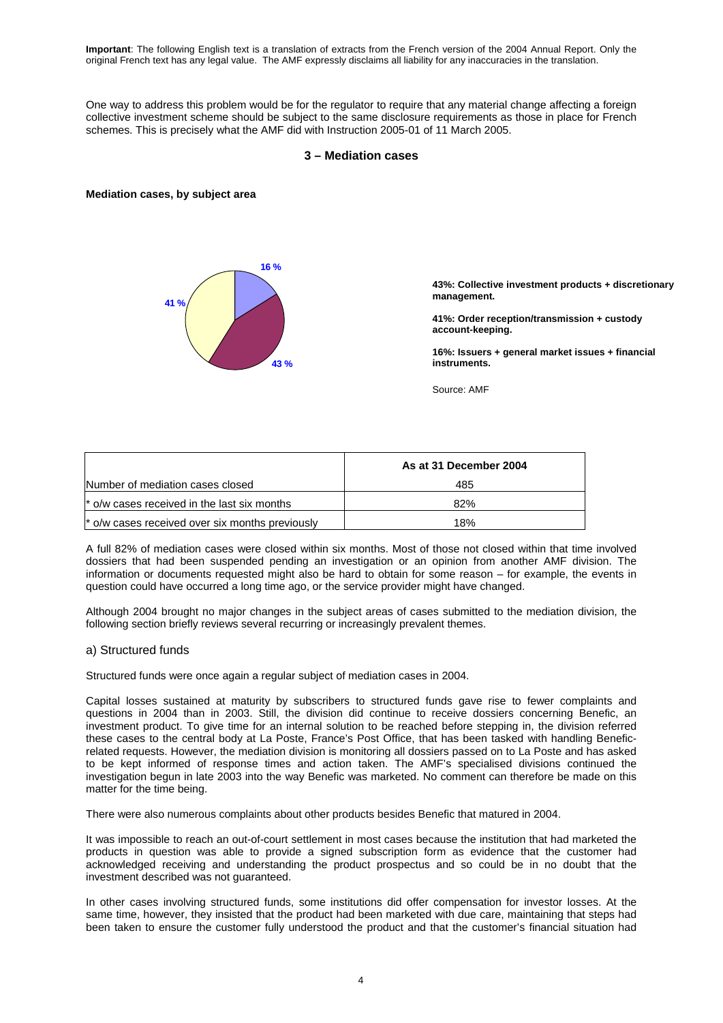One way to address this problem would be for the regulator to require that any material change affecting a foreign collective investment scheme should be subject to the same disclosure requirements as those in place for French schemes. This is precisely what the AMF did with Instruction 2005-01 of 11 March 2005.

### **3 – Mediation cases**

#### **Mediation cases, by subject area**



**43%: Collective investment products + discretionary management.** 

**41%: Order reception/transmission + custody account-keeping.** 

**16%: Issuers + general market issues + financial instruments.**

Source: AMF

|                                                  | As at 31 December 2004 |
|--------------------------------------------------|------------------------|
| Number of mediation cases closed                 | 485                    |
| the l* o/w cases received in the last six months | 82%                    |
| * o/w cases received over six months previously  | 18%                    |

A full 82% of mediation cases were closed within six months. Most of those not closed within that time involved dossiers that had been suspended pending an investigation or an opinion from another AMF division. The information or documents requested might also be hard to obtain for some reason – for example, the events in question could have occurred a long time ago, or the service provider might have changed.

Although 2004 brought no major changes in the subject areas of cases submitted to the mediation division, the following section briefly reviews several recurring or increasingly prevalent themes.

#### a) Structured funds

Structured funds were once again a regular subject of mediation cases in 2004.

Capital losses sustained at maturity by subscribers to structured funds gave rise to fewer complaints and questions in 2004 than in 2003. Still, the division did continue to receive dossiers concerning Benefic, an investment product. To give time for an internal solution to be reached before stepping in, the division referred these cases to the central body at La Poste, France's Post Office, that has been tasked with handling Beneficrelated requests. However, the mediation division is monitoring all dossiers passed on to La Poste and has asked to be kept informed of response times and action taken. The AMF's specialised divisions continued the investigation begun in late 2003 into the way Benefic was marketed. No comment can therefore be made on this matter for the time being.

There were also numerous complaints about other products besides Benefic that matured in 2004.

It was impossible to reach an out-of-court settlement in most cases because the institution that had marketed the products in question was able to provide a signed subscription form as evidence that the customer had acknowledged receiving and understanding the product prospectus and so could be in no doubt that the investment described was not guaranteed.

In other cases involving structured funds, some institutions did offer compensation for investor losses. At the same time, however, they insisted that the product had been marketed with due care, maintaining that steps had been taken to ensure the customer fully understood the product and that the customer's financial situation had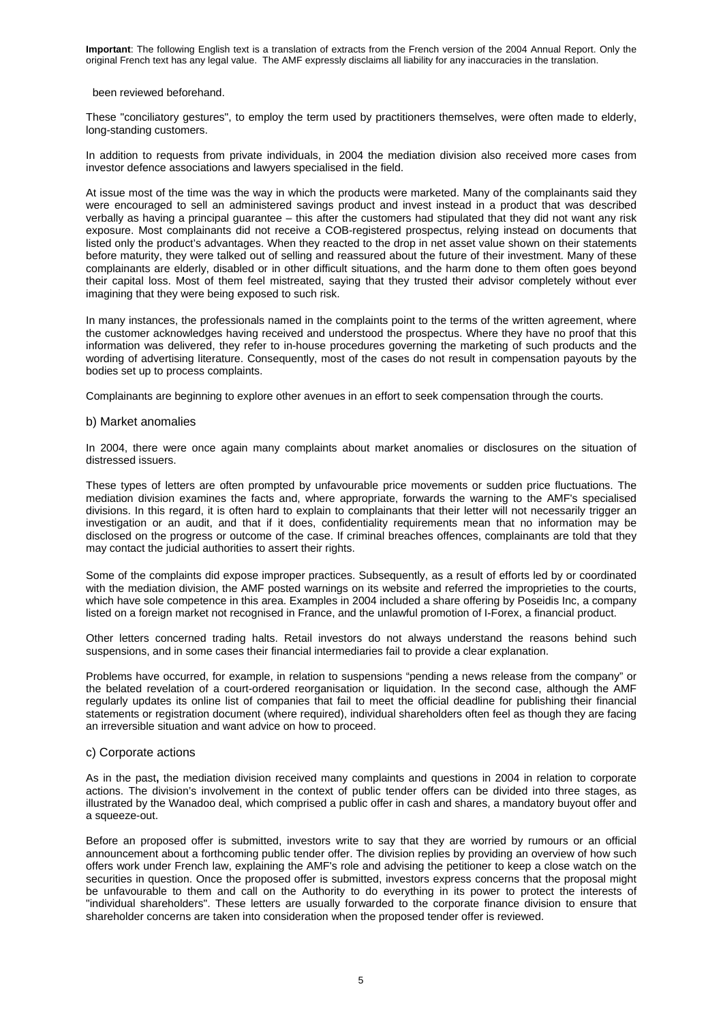#### been reviewed beforehand.

These "conciliatory gestures", to employ the term used by practitioners themselves, were often made to elderly, long-standing customers.

In addition to requests from private individuals, in 2004 the mediation division also received more cases from investor defence associations and lawyers specialised in the field.

At issue most of the time was the way in which the products were marketed. Many of the complainants said they were encouraged to sell an administered savings product and invest instead in a product that was described verbally as having a principal guarantee – this after the customers had stipulated that they did not want any risk exposure. Most complainants did not receive a COB-registered prospectus, relying instead on documents that listed only the product's advantages. When they reacted to the drop in net asset value shown on their statements before maturity, they were talked out of selling and reassured about the future of their investment. Many of these complainants are elderly, disabled or in other difficult situations, and the harm done to them often goes beyond their capital loss. Most of them feel mistreated, saying that they trusted their advisor completely without ever imagining that they were being exposed to such risk.

In many instances, the professionals named in the complaints point to the terms of the written agreement, where the customer acknowledges having received and understood the prospectus. Where they have no proof that this information was delivered, they refer to in-house procedures governing the marketing of such products and the wording of advertising literature. Consequently, most of the cases do not result in compensation payouts by the bodies set up to process complaints.

Complainants are beginning to explore other avenues in an effort to seek compensation through the courts.

#### b) Market anomalies

In 2004, there were once again many complaints about market anomalies or disclosures on the situation of distressed issuers.

These types of letters are often prompted by unfavourable price movements or sudden price fluctuations. The mediation division examines the facts and, where appropriate, forwards the warning to the AMF's specialised divisions. In this regard, it is often hard to explain to complainants that their letter will not necessarily trigger an investigation or an audit, and that if it does, confidentiality requirements mean that no information may be disclosed on the progress or outcome of the case. If criminal breaches offences, complainants are told that they may contact the judicial authorities to assert their rights.

Some of the complaints did expose improper practices. Subsequently, as a result of efforts led by or coordinated with the mediation division, the AMF posted warnings on its website and referred the improprieties to the courts, which have sole competence in this area. Examples in 2004 included a share offering by Poseidis Inc, a company listed on a foreign market not recognised in France, and the unlawful promotion of I-Forex, a financial product.

Other letters concerned trading halts. Retail investors do not always understand the reasons behind such suspensions, and in some cases their financial intermediaries fail to provide a clear explanation.

Problems have occurred, for example, in relation to suspensions "pending a news release from the company" or the belated revelation of a court-ordered reorganisation or liquidation. In the second case, although the AMF regularly updates its online list of companies that fail to meet the official deadline for publishing their financial statements or registration document (where required), individual shareholders often feel as though they are facing an irreversible situation and want advice on how to proceed.

### c) Corporate actions

 As in the past**,** the mediation division received many complaints and questions in 2004 in relation to corporate actions. The division's involvement in the context of public tender offers can be divided into three stages, as illustrated by the Wanadoo deal, which comprised a public offer in cash and shares, a mandatory buyout offer and a squeeze-out.

Before an proposed offer is submitted, investors write to say that they are worried by rumours or an official announcement about a forthcoming public tender offer. The division replies by providing an overview of how such offers work under French law, explaining the AMF's role and advising the petitioner to keep a close watch on the securities in question. Once the proposed offer is submitted, investors express concerns that the proposal might be unfavourable to them and call on the Authority to do everything in its power to protect the interests of "individual shareholders". These letters are usually forwarded to the corporate finance division to ensure that shareholder concerns are taken into consideration when the proposed tender offer is reviewed.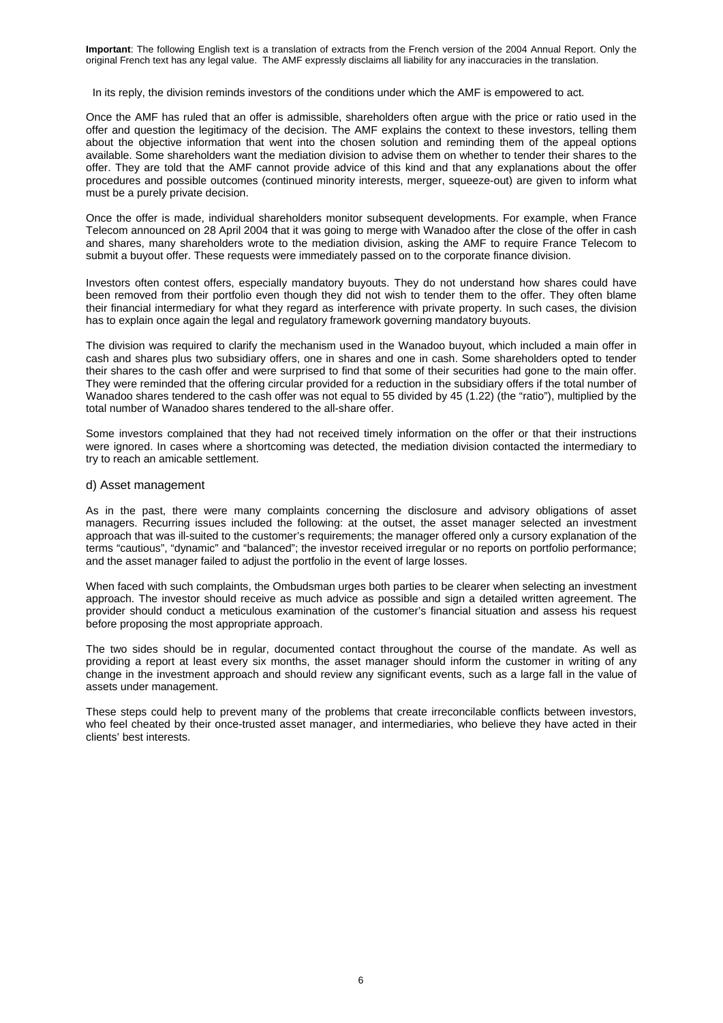In its reply, the division reminds investors of the conditions under which the AMF is empowered to act.

Once the AMF has ruled that an offer is admissible, shareholders often argue with the price or ratio used in the offer and question the legitimacy of the decision. The AMF explains the context to these investors, telling them about the objective information that went into the chosen solution and reminding them of the appeal options available. Some shareholders want the mediation division to advise them on whether to tender their shares to the offer. They are told that the AMF cannot provide advice of this kind and that any explanations about the offer procedures and possible outcomes (continued minority interests, merger, squeeze-out) are given to inform what must be a purely private decision.

Once the offer is made, individual shareholders monitor subsequent developments. For example, when France Telecom announced on 28 April 2004 that it was going to merge with Wanadoo after the close of the offer in cash and shares, many shareholders wrote to the mediation division, asking the AMF to require France Telecom to submit a buyout offer. These requests were immediately passed on to the corporate finance division.

Investors often contest offers, especially mandatory buyouts. They do not understand how shares could have been removed from their portfolio even though they did not wish to tender them to the offer. They often blame their financial intermediary for what they regard as interference with private property. In such cases, the division has to explain once again the legal and regulatory framework governing mandatory buyouts.

The division was required to clarify the mechanism used in the Wanadoo buyout, which included a main offer in cash and shares plus two subsidiary offers, one in shares and one in cash. Some shareholders opted to tender their shares to the cash offer and were surprised to find that some of their securities had gone to the main offer. They were reminded that the offering circular provided for a reduction in the subsidiary offers if the total number of Wanadoo shares tendered to the cash offer was not equal to 55 divided by 45 (1.22) (the "ratio"), multiplied by the total number of Wanadoo shares tendered to the all-share offer.

Some investors complained that they had not received timely information on the offer or that their instructions were ignored. In cases where a shortcoming was detected, the mediation division contacted the intermediary to try to reach an amicable settlement.

### d) Asset management

As in the past, there were many complaints concerning the disclosure and advisory obligations of asset managers. Recurring issues included the following: at the outset, the asset manager selected an investment approach that was ill-suited to the customer's requirements; the manager offered only a cursory explanation of the terms "cautious", "dynamic" and "balanced"; the investor received irregular or no reports on portfolio performance; and the asset manager failed to adjust the portfolio in the event of large losses.

When faced with such complaints, the Ombudsman urges both parties to be clearer when selecting an investment approach. The investor should receive as much advice as possible and sign a detailed written agreement. The provider should conduct a meticulous examination of the customer's financial situation and assess his request before proposing the most appropriate approach.

The two sides should be in regular, documented contact throughout the course of the mandate. As well as providing a report at least every six months, the asset manager should inform the customer in writing of any change in the investment approach and should review any significant events, such as a large fall in the value of assets under management.

These steps could help to prevent many of the problems that create irreconcilable conflicts between investors, who feel cheated by their once-trusted asset manager, and intermediaries, who believe they have acted in their clients' best interests.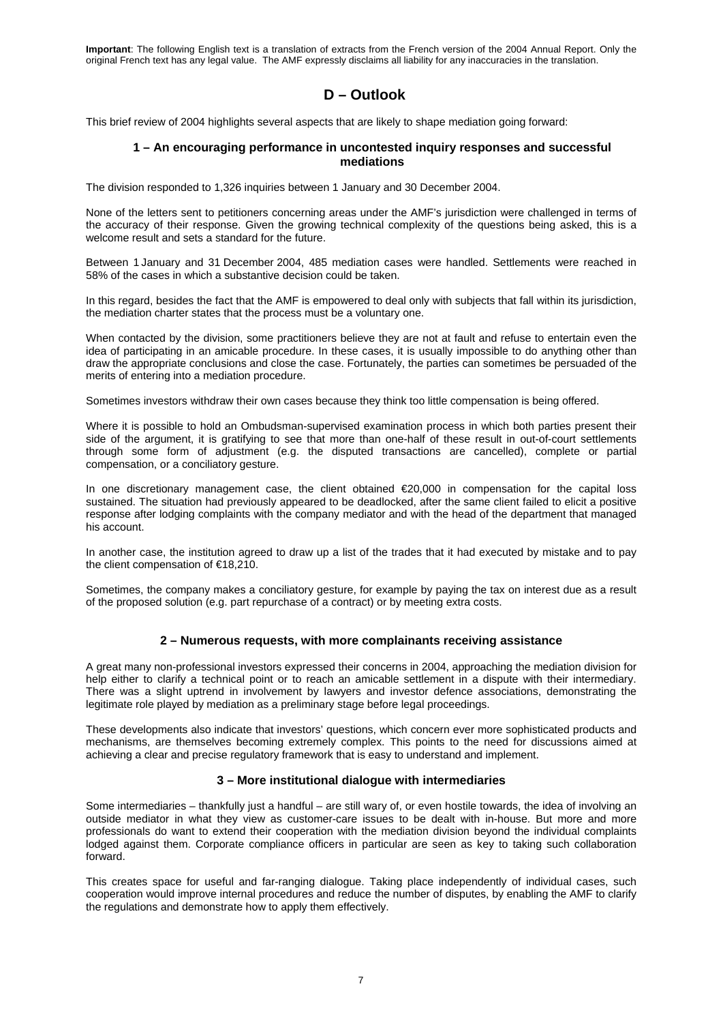## **D – Outlook**

This brief review of 2004 highlights several aspects that are likely to shape mediation going forward:

## **1 – An encouraging performance in uncontested inquiry responses and successful mediations**

The division responded to 1,326 inquiries between 1 January and 30 December 2004.

None of the letters sent to petitioners concerning areas under the AMF's jurisdiction were challenged in terms of the accuracy of their response. Given the growing technical complexity of the questions being asked, this is a welcome result and sets a standard for the future.

Between 1 January and 31 December 2004, 485 mediation cases were handled. Settlements were reached in 58% of the cases in which a substantive decision could be taken.

In this regard, besides the fact that the AMF is empowered to deal only with subjects that fall within its jurisdiction, the mediation charter states that the process must be a voluntary one.

When contacted by the division, some practitioners believe they are not at fault and refuse to entertain even the idea of participating in an amicable procedure. In these cases, it is usually impossible to do anything other than draw the appropriate conclusions and close the case. Fortunately, the parties can sometimes be persuaded of the merits of entering into a mediation procedure.

Sometimes investors withdraw their own cases because they think too little compensation is being offered.

Where it is possible to hold an Ombudsman-supervised examination process in which both parties present their side of the argument, it is gratifying to see that more than one-half of these result in out-of-court settlements through some form of adjustment (e.g. the disputed transactions are cancelled), complete or partial compensation, or a conciliatory gesture.

In one discretionary management case, the client obtained €20,000 in compensation for the capital loss sustained. The situation had previously appeared to be deadlocked, after the same client failed to elicit a positive response after lodging complaints with the company mediator and with the head of the department that managed his account.

In another case, the institution agreed to draw up a list of the trades that it had executed by mistake and to pay the client compensation of €18,210.

Sometimes, the company makes a conciliatory gesture, for example by paying the tax on interest due as a result of the proposed solution (e.g. part repurchase of a contract) or by meeting extra costs.

## **2 – Numerous requests, with more complainants receiving assistance**

A great many non-professional investors expressed their concerns in 2004, approaching the mediation division for help either to clarify a technical point or to reach an amicable settlement in a dispute with their intermediary. There was a slight uptrend in involvement by lawyers and investor defence associations, demonstrating the legitimate role played by mediation as a preliminary stage before legal proceedings.

These developments also indicate that investors' questions, which concern ever more sophisticated products and mechanisms, are themselves becoming extremely complex. This points to the need for discussions aimed at achieving a clear and precise regulatory framework that is easy to understand and implement.

## **3 – More institutional dialogue with intermediaries**

Some intermediaries – thankfully just a handful – are still wary of, or even hostile towards, the idea of involving an outside mediator in what they view as customer-care issues to be dealt with in-house. But more and more professionals do want to extend their cooperation with the mediation division beyond the individual complaints lodged against them. Corporate compliance officers in particular are seen as key to taking such collaboration forward.

This creates space for useful and far-ranging dialogue. Taking place independently of individual cases, such cooperation would improve internal procedures and reduce the number of disputes, by enabling the AMF to clarify the regulations and demonstrate how to apply them effectively.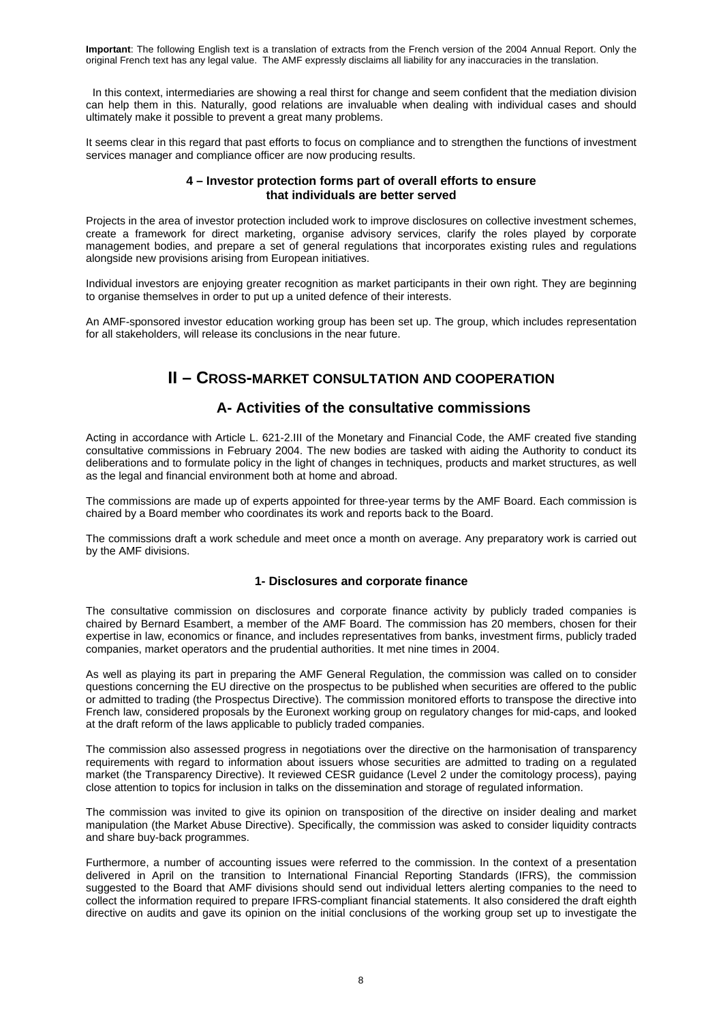In this context, intermediaries are showing a real thirst for change and seem confident that the mediation division can help them in this. Naturally, good relations are invaluable when dealing with individual cases and should ultimately make it possible to prevent a great many problems.

It seems clear in this regard that past efforts to focus on compliance and to strengthen the functions of investment services manager and compliance officer are now producing results.

## **4 – Investor protection forms part of overall efforts to ensure that individuals are better served**

Projects in the area of investor protection included work to improve disclosures on collective investment schemes, create a framework for direct marketing, organise advisory services, clarify the roles played by corporate management bodies, and prepare a set of general regulations that incorporates existing rules and regulations alongside new provisions arising from European initiatives.

Individual investors are enjoying greater recognition as market participants in their own right. They are beginning to organise themselves in order to put up a united defence of their interests.

An AMF-sponsored investor education working group has been set up. The group, which includes representation for all stakeholders, will release its conclusions in the near future.

## **II – CROSS-MARKET CONSULTATION AND COOPERATION**

## **A- Activities of the consultative commissions**

Acting in accordance with Article L. 621-2.III of the Monetary and Financial Code, the AMF created five standing consultative commissions in February 2004. The new bodies are tasked with aiding the Authority to conduct its deliberations and to formulate policy in the light of changes in techniques, products and market structures, as well as the legal and financial environment both at home and abroad.

The commissions are made up of experts appointed for three-year terms by the AMF Board. Each commission is chaired by a Board member who coordinates its work and reports back to the Board.

The commissions draft a work schedule and meet once a month on average. Any preparatory work is carried out by the AMF divisions.

## **1- Disclosures and corporate finance**

The consultative commission on disclosures and corporate finance activity by publicly traded companies is chaired by Bernard Esambert, a member of the AMF Board. The commission has 20 members, chosen for their expertise in law, economics or finance, and includes representatives from banks, investment firms, publicly traded companies, market operators and the prudential authorities. It met nine times in 2004.

As well as playing its part in preparing the AMF General Regulation, the commission was called on to consider questions concerning the EU directive on the prospectus to be published when securities are offered to the public or admitted to trading (the Prospectus Directive). The commission monitored efforts to transpose the directive into French law, considered proposals by the Euronext working group on regulatory changes for mid-caps, and looked at the draft reform of the laws applicable to publicly traded companies.

The commission also assessed progress in negotiations over the directive on the harmonisation of transparency requirements with regard to information about issuers whose securities are admitted to trading on a regulated market (the Transparency Directive). It reviewed CESR guidance (Level 2 under the comitology process), paying close attention to topics for inclusion in talks on the dissemination and storage of regulated information.

The commission was invited to give its opinion on transposition of the directive on insider dealing and market manipulation (the Market Abuse Directive). Specifically, the commission was asked to consider liquidity contracts and share buy-back programmes.

Furthermore, a number of accounting issues were referred to the commission. In the context of a presentation delivered in April on the transition to International Financial Reporting Standards (IFRS), the commission suggested to the Board that AMF divisions should send out individual letters alerting companies to the need to collect the information required to prepare IFRS-compliant financial statements. It also considered the draft eighth directive on audits and gave its opinion on the initial conclusions of the working group set up to investigate the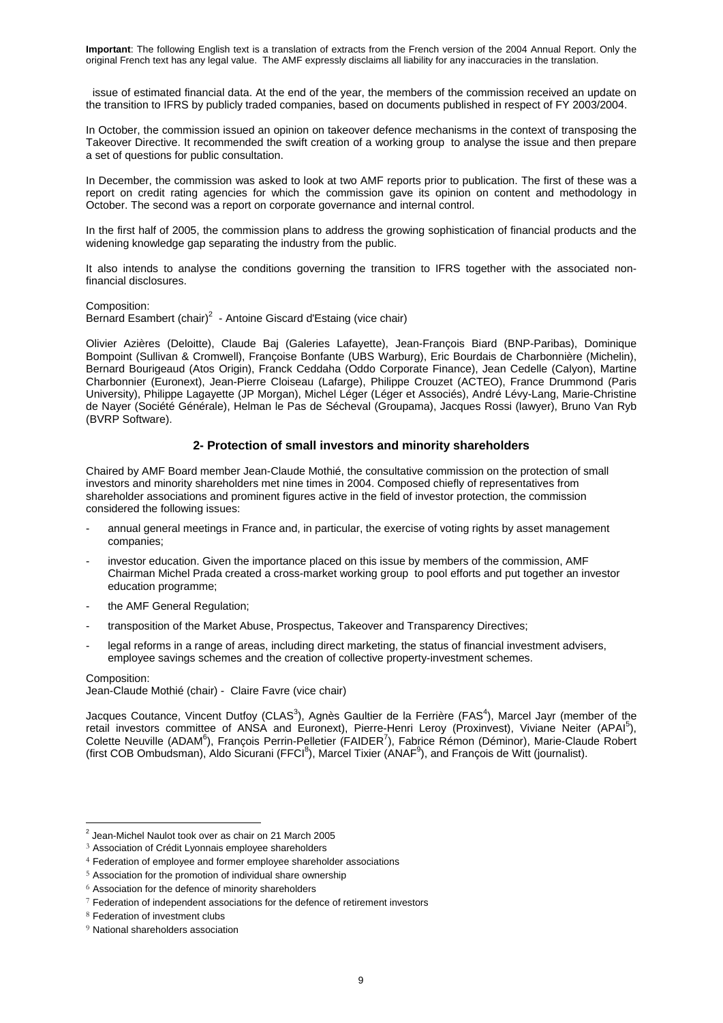issue of estimated financial data. At the end of the year, the members of the commission received an update on the transition to IFRS by publicly traded companies, based on documents published in respect of FY 2003/2004.

In October, the commission issued an opinion on takeover defence mechanisms in the context of transposing the Takeover Directive. It recommended the swift creation of a working group to analyse the issue and then prepare a set of questions for public consultation.

In December, the commission was asked to look at two AMF reports prior to publication. The first of these was a report on credit rating agencies for which the commission gave its opinion on content and methodology in October. The second was a report on corporate governance and internal control.

In the first half of 2005, the commission plans to address the growing sophistication of financial products and the widening knowledge gap separating the industry from the public.

It also intends to analyse the conditions governing the transition to IFRS together with the associated nonfinancial disclosures.

Composition:

Bernard Esambert (chair)<sup>2</sup> - Antoine Giscard d'Estaing (vice chair)

Olivier Azières (Deloitte), Claude Baj (Galeries Lafayette), Jean-François Biard (BNP-Paribas), Dominique Bompoint (Sullivan & Cromwell), Françoise Bonfante (UBS Warburg), Eric Bourdais de Charbonnière (Michelin), Bernard Bourigeaud (Atos Origin), Franck Ceddaha (Oddo Corporate Finance), Jean Cedelle (Calyon), Martine Charbonnier (Euronext), Jean-Pierre Cloiseau (Lafarge), Philippe Crouzet (ACTEO), France Drummond (Paris University), Philippe Lagayette (JP Morgan), Michel Léger (Léger et Associés), André Lévy-Lang, Marie-Christine de Nayer (Société Générale), Helman le Pas de Sécheval (Groupama), Jacques Rossi (lawyer), Bruno Van Ryb (BVRP Software).

## **2- Protection of small investors and minority shareholders**

Chaired by AMF Board member Jean-Claude Mothié, the consultative commission on the protection of small investors and minority shareholders met nine times in 2004. Composed chiefly of representatives from shareholder associations and prominent figures active in the field of investor protection, the commission considered the following issues:

- annual general meetings in France and, in particular, the exercise of voting rights by asset management companies;
- investor education. Given the importance placed on this issue by members of the commission, AMF Chairman Michel Prada created a cross-market working group to pool efforts and put together an investor education programme;
- the AMF General Regulation;
- transposition of the Market Abuse, Prospectus, Takeover and Transparency Directives;
- legal reforms in a range of areas, including direct marketing, the status of financial investment advisers, employee savings schemes and the creation of collective property-investment schemes.

### Composition:

-

Jean-Claude Mothié (chair) - Claire Favre (vice chair)

Jacques Coutance, Vincent Dutfoy (CLAS<sup>3</sup>), Agnès Gaultier de la Ferrière (FAS<sup>4</sup>), Marcel Jayr (member of the retail investors committee of ANSA and Euronext), Pierre-Henri Leroy (Proxinvest), Viviane Neiter (APAI<sup>5</sup>), Colette Neuville (ADAM<sup>6</sup>), François Perrin-Pelletier (FAIDER<sup>7</sup>), Fabrice Rémon (Déminor), Marie-Claude Robert (first COB Ombudsman), Aldo Sicurani (FFCI<sup>8</sup>), Marcel Tixier (ANAF<sup>9</sup>), and François de Witt (journalist).

 $2$  Jean-Michel Naulot took over as chair on 21 March 2005

<sup>&</sup>lt;sup>3</sup> Association of Crédit Lyonnais employee shareholders

<sup>4</sup> Federation of employee and former employee shareholder associations

<sup>5</sup> Association for the promotion of individual share ownership

 $6$  Association for the defence of minority shareholders

 $7$  Federation of independent associations for the defence of retirement investors

<sup>8</sup> Federation of investment clubs

<sup>&</sup>lt;sup>9</sup> National shareholders association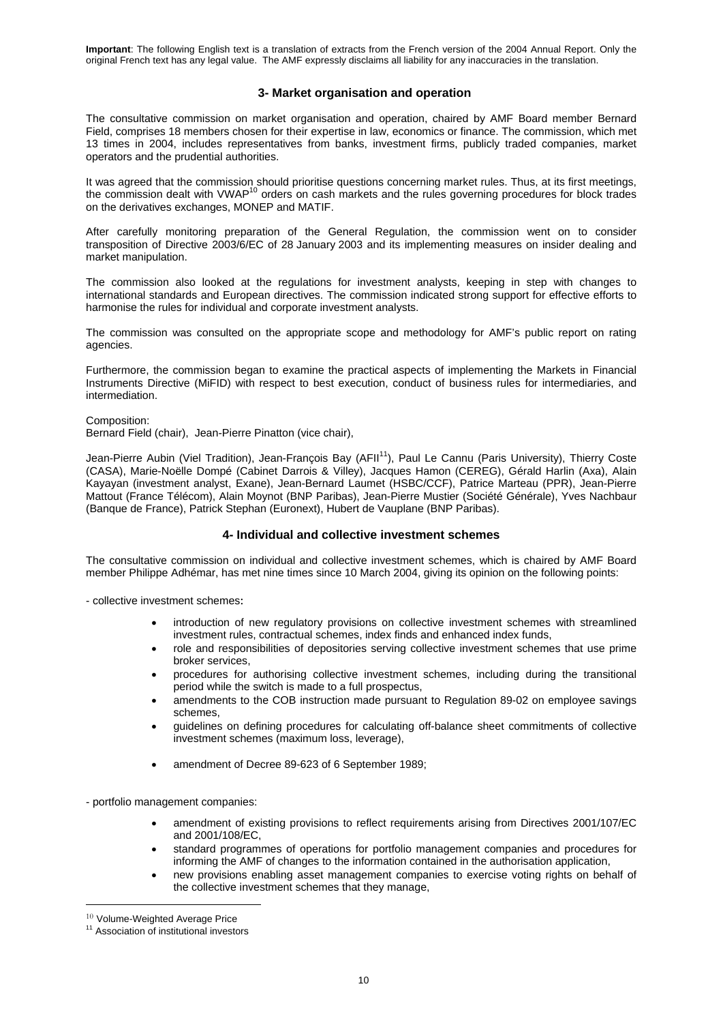## **3- Market organisation and operation**

The consultative commission on market organisation and operation, chaired by AMF Board member Bernard Field, comprises 18 members chosen for their expertise in law, economics or finance. The commission, which met 13 times in 2004, includes representatives from banks, investment firms, publicly traded companies, market operators and the prudential authorities.

It was agreed that the commission should prioritise questions concerning market rules. Thus, at its first meetings, the commission dealt with VWAP<sup>10</sup> orders on cash markets and the rules governing procedures for block trades on the derivatives exchanges, MONEP and MATIF.

After carefully monitoring preparation of the General Regulation, the commission went on to consider transposition of Directive 2003/6/EC of 28 January 2003 and its implementing measures on insider dealing and market manipulation.

The commission also looked at the regulations for investment analysts, keeping in step with changes to international standards and European directives. The commission indicated strong support for effective efforts to harmonise the rules for individual and corporate investment analysts.

The commission was consulted on the appropriate scope and methodology for AMF's public report on rating agencies.

Furthermore, the commission began to examine the practical aspects of implementing the Markets in Financial Instruments Directive (MiFID) with respect to best execution, conduct of business rules for intermediaries, and intermediation.

#### Composition:

Bernard Field (chair), Jean-Pierre Pinatton (vice chair),

Jean-Pierre Aubin (Viel Tradition), Jean-François Bay (AFII<sup>11</sup>), Paul Le Cannu (Paris University), Thierry Coste (CASA), Marie-Noëlle Dompé (Cabinet Darrois & Villey), Jacques Hamon (CEREG), Gérald Harlin (Axa), Alain Kayayan (investment analyst, Exane), Jean-Bernard Laumet (HSBC/CCF), Patrice Marteau (PPR), Jean-Pierre Mattout (France Télécom), Alain Moynot (BNP Paribas), Jean-Pierre Mustier (Société Générale), Yves Nachbaur (Banque de France), Patrick Stephan (Euronext), Hubert de Vauplane (BNP Paribas).

## **4- Individual and collective investment schemes**

The consultative commission on individual and collective investment schemes, which is chaired by AMF Board member Philippe Adhémar, has met nine times since 10 March 2004, giving its opinion on the following points:

- collective investment schemes:

- introduction of new regulatory provisions on collective investment schemes with streamlined investment rules, contractual schemes, index finds and enhanced index funds,
- role and responsibilities of depositories serving collective investment schemes that use prime broker services,
- procedures for authorising collective investment schemes, including during the transitional period while the switch is made to a full prospectus,
- amendments to the COB instruction made pursuant to Regulation 89-02 on employee savings schemes,
- guidelines on defining procedures for calculating off-balance sheet commitments of collective investment schemes (maximum loss, leverage),
- amendment of Decree 89-623 of 6 September 1989;

- portfolio management companies:

- amendment of existing provisions to reflect requirements arising from Directives 2001/107/EC and 2001/108/EC,
- standard programmes of operations for portfolio management companies and procedures for informing the AMF of changes to the information contained in the authorisation application,
- new provisions enabling asset management companies to exercise voting rights on behalf of the collective investment schemes that they manage,

-

<sup>&</sup>lt;sup>10</sup> Volume-Weighted Average Price

<sup>&</sup>lt;sup>11</sup> Association of institutional investors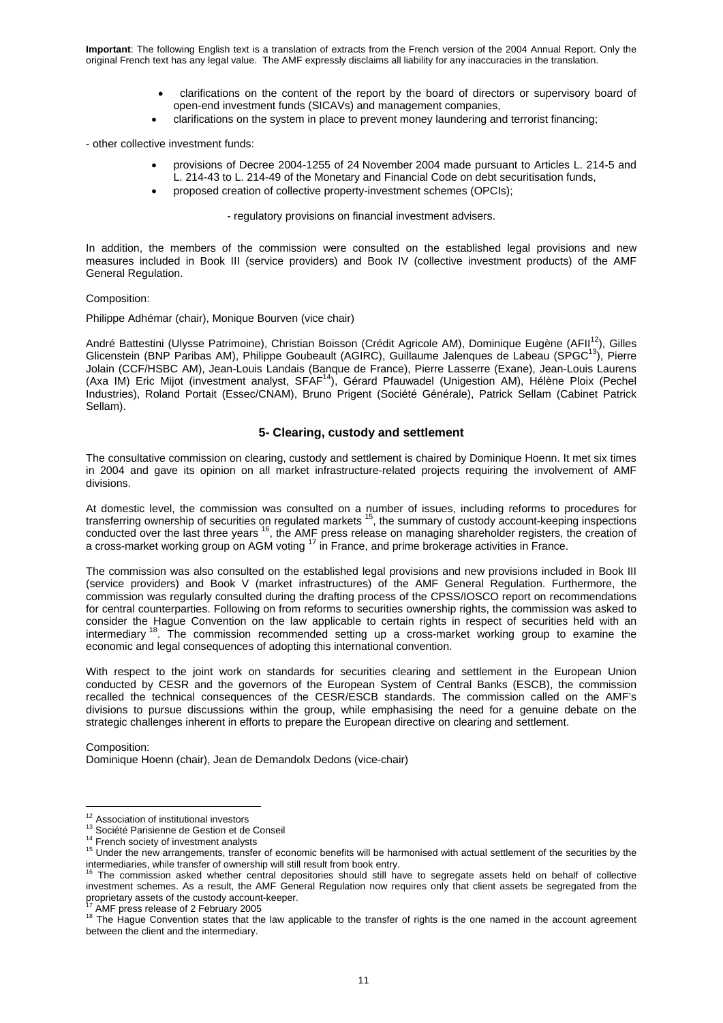- clarifications on the content of the report by the board of directors or supervisory board of open-end investment funds (SICAVs) and management companies,
- clarifications on the system in place to prevent money laundering and terrorist financing;

- other collective investment funds:

- provisions of Decree 2004-1255 of 24 November 2004 made pursuant to Articles L. 214-5 and L. 214-43 to L. 214-49 of the Monetary and Financial Code on debt securitisation funds,
- proposed creation of collective property-investment schemes (OPCIs);

- regulatory provisions on financial investment advisers.

In addition, the members of the commission were consulted on the established legal provisions and new measures included in Book III (service providers) and Book IV (collective investment products) of the AMF General Regulation.

#### Composition:

Philippe Adhémar (chair), Monique Bourven (vice chair)

André Battestini (Ulysse Patrimoine), Christian Boisson (Crédit Agricole AM), Dominique Eugène (AFII<sup>12</sup>), Gilles Glicenstein (BNP Paribas AM), Philippe Goubeault (AGIRC), Guillaume Jalenques de Labeau (SPGC<sup>13</sup>), Pierre Jolain (CCF/HSBC AM), Jean-Louis Landais (Banque de France), Pierre Lasserre (Exane), Jean-Louis Laurens (Axa IM) Eric Mijot (investment analyst, SFAF<sup>14</sup>), Gérard Pfauwadel (Unigestion AM), Hélène Ploix (Pechel Industries), Roland Portait (Essec/CNAM), Bruno Prigent (Société Générale), Patrick Sellam (Cabinet Patrick Sellam).

## **5- Clearing, custody and settlement**

The consultative commission on clearing, custody and settlement is chaired by Dominique Hoenn. It met six times in 2004 and gave its opinion on all market infrastructure-related projects requiring the involvement of AMF divisions.

At domestic level, the commission was consulted on a number of issues, including reforms to procedures for transferring ownership of securities on regulated markets 15, the summary of custody account-keeping inspections conducted over the last three years <sup>16</sup>, the AMF press release on managing shareholder registers, the creation of a cross-market working group on AGM voting <sup>17</sup> in France, and prime brokerage activities in France.

The commission was also consulted on the established legal provisions and new provisions included in Book III (service providers) and Book V (market infrastructures) of the AMF General Regulation. Furthermore, the commission was regularly consulted during the drafting process of the CPSS/IOSCO report on recommendations for central counterparties. Following on from reforms to securities ownership rights, the commission was asked to consider the Hague Convention on the law applicable to certain rights in respect of securities held with an intermediary <sup>18</sup>. The commission recommended setting up a cross-market working group to examine the economic and legal consequences of adopting this international convention.

With respect to the joint work on standards for securities clearing and settlement in the European Union conducted by CESR and the governors of the European System of Central Banks (ESCB), the commission recalled the technical consequences of the CESR/ESCB standards. The commission called on the AMF's divisions to pursue discussions within the group, while emphasising the need for a genuine debate on the strategic challenges inherent in efforts to prepare the European directive on clearing and settlement.

Composition: Dominique Hoenn (chair), Jean de Demandolx Dedons (vice-chair)

<sup>&</sup>lt;sup>12</sup> Association of institutional investors

<sup>&</sup>lt;sup>13</sup> Société Parisienne de Gestion et de Conseil<br><sup>14</sup> French society of investment analysts<br><sup>15</sup> Under the new arrangements, transfer of economic benefits will be harmonised with actual settlement of the securities by the<br>

The commission asked whether central depositories should still have to segregate assets held on behalf of collective investment schemes. As a result, the AMF General Regulation now requires only that client assets be segregated from the proprietary assets of the custody account-keeper.<br><sup>17</sup> AMF press release of 2 February 2005

<sup>&</sup>lt;sup>18</sup> The Hague Convention states that the law applicable to the transfer of rights is the one named in the account agreement between the client and the intermediary.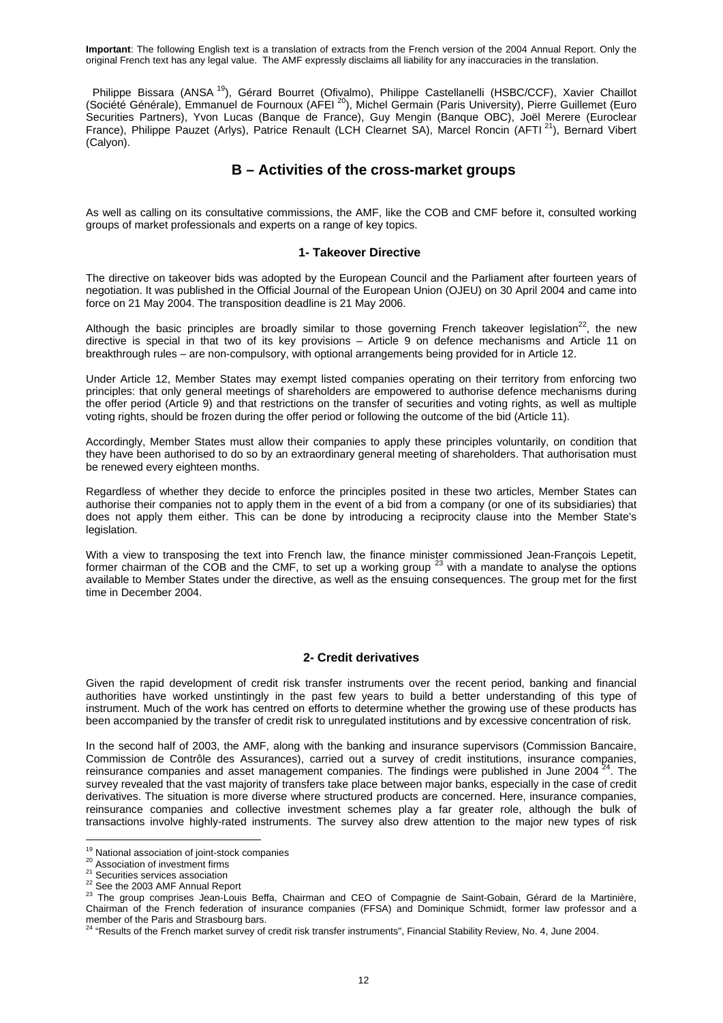Philippe Bissara (ANSA<sup>19</sup>), Gérard Bourret (Ofivalmo), Philippe Castellanelli (HSBC/CCF), Xavier Chaillot (Société Générale), Emmanuel de Fournoux (AFEI 20), Michel Germain (Paris University), Pierre Guillemet (Euro Securities Partners), Yvon Lucas (Banque de France), Guy Mengin (Banque OBC), Joël Merere (Euroclear France), Philippe Pauzet (Arlys), Patrice Renault (LCH Clearnet SA), Marcel Roncin (AFTI<sup>21</sup>), Bernard Vibert (Calyon).

## **B – Activities of the cross-market groups**

As well as calling on its consultative commissions, the AMF, like the COB and CMF before it, consulted working groups of market professionals and experts on a range of key topics.

### **1- Takeover Directive**

The directive on takeover bids was adopted by the European Council and the Parliament after fourteen years of negotiation. It was published in the Official Journal of the European Union (OJEU) on 30 April 2004 and came into force on 21 May 2004. The transposition deadline is 21 May 2006.

Although the basic principles are broadly similar to those governing French takeover legislation<sup>22</sup>, the new directive is special in that two of its key provisions – Article 9 on defence mechanisms and Article 11 on breakthrough rules – are non-compulsory, with optional arrangements being provided for in Article 12.

Under Article 12, Member States may exempt listed companies operating on their territory from enforcing two principles: that only general meetings of shareholders are empowered to authorise defence mechanisms during the offer period (Article 9) and that restrictions on the transfer of securities and voting rights, as well as multiple voting rights, should be frozen during the offer period or following the outcome of the bid (Article 11).

Accordingly, Member States must allow their companies to apply these principles voluntarily, on condition that they have been authorised to do so by an extraordinary general meeting of shareholders. That authorisation must be renewed every eighteen months.

Regardless of whether they decide to enforce the principles posited in these two articles, Member States can authorise their companies not to apply them in the event of a bid from a company (or one of its subsidiaries) that does not apply them either. This can be done by introducing a reciprocity clause into the Member State's legislation.

With a view to transposing the text into French law, the finance minister commissioned Jean-François Lepetit, former chairman of the COB and the CMF, to set up a working group  $^{23}$  with a mandate to analyse the options available to Member States under the directive, as well as the ensuing consequences. The group met for the first time in December 2004.

## **2- Credit derivatives**

Given the rapid development of credit risk transfer instruments over the recent period, banking and financial authorities have worked unstintingly in the past few years to build a better understanding of this type of instrument. Much of the work has centred on efforts to determine whether the growing use of these products has been accompanied by the transfer of credit risk to unregulated institutions and by excessive concentration of risk.

In the second half of 2003, the AMF, along with the banking and insurance supervisors (Commission Bancaire, Commission de Contrôle des Assurances), carried out a survey of credit institutions, insurance companies, reinsurance companies and asset management companies. The findings were published in June 2004  $24$ . The survey revealed that the vast majority of transfers take place between major banks, especially in the case of credit derivatives. The situation is more diverse where structured products are concerned. Here, insurance companies, reinsurance companies and collective investment schemes play a far greater role, although the bulk of transactions involve highly-rated instruments. The survey also drew attention to the major new types of risk

<sup>&</sup>lt;sup>19</sup> National association of joint-stock companies

<sup>20</sup> Nasociation of investment firms<br>
21 Securities services association<br>
<sup>22</sup> Securities services association<br>
<sup>22</sup> See the 2003 AMF Annual Report<br>
<sup>23</sup> The group comprises Jean-Louis Beffa, Chairman and CEO of Compagnie de Chairman of the French federation of insurance companies (FFSA) and Dominique Schmidt, former law professor and a

member of the Paris and Strasbourg bars.<br><sup>24</sup> "Results of the French market survey of credit risk transfer instruments", Financial Stability Review, No. 4, June 2004.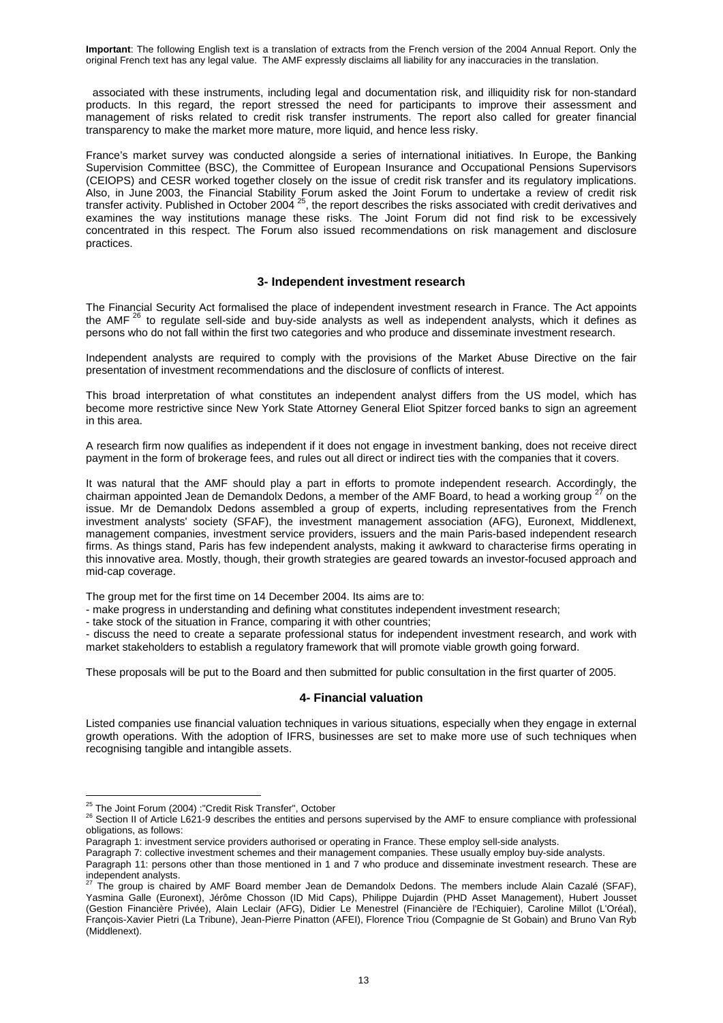associated with these instruments, including legal and documentation risk, and illiquidity risk for non-standard products. In this regard, the report stressed the need for participants to improve their assessment and management of risks related to credit risk transfer instruments. The report also called for greater financial transparency to make the market more mature, more liquid, and hence less risky.

France's market survey was conducted alongside a series of international initiatives. In Europe, the Banking Supervision Committee (BSC), the Committee of European Insurance and Occupational Pensions Supervisors (CEIOPS) and CESR worked together closely on the issue of credit risk transfer and its regulatory implications. Also, in June 2003, the Financial Stability Forum asked the Joint Forum to undertake a review of credit risk transfer activity. Published in October 2004  $^{25}$ , the report describes the risks associated with credit derivatives and examines the way institutions manage these risks. The Joint Forum did not find risk to be excessively concentrated in this respect. The Forum also issued recommendations on risk management and disclosure practices.

### **3- Independent investment research**

The Financial Security Act formalised the place of independent investment research in France. The Act appoints the AMF  $26$  to regulate sell-side and buy-side analysts as well as independent analysts, which it defines as persons who do not fall within the first two categories and who produce and disseminate investment research.

Independent analysts are required to comply with the provisions of the Market Abuse Directive on the fair presentation of investment recommendations and the disclosure of conflicts of interest.

This broad interpretation of what constitutes an independent analyst differs from the US model, which has become more restrictive since New York State Attorney General Eliot Spitzer forced banks to sign an agreement in this area.

A research firm now qualifies as independent if it does not engage in investment banking, does not receive direct payment in the form of brokerage fees, and rules out all direct or indirect ties with the companies that it covers.

It was natural that the AMF should play a part in efforts to promote independent research. Accordingly, the chairman appointed Jean de Demandolx Dedons, a member of the AMF Board, to head a working group <sup>27</sup> on the issue. Mr de Demandolx Dedons assembled a group of experts, including representatives from the French investment analysts' society (SFAF), the investment management association (AFG), Euronext, Middlenext, management companies, investment service providers, issuers and the main Paris-based independent research firms. As things stand, Paris has few independent analysts, making it awkward to characterise firms operating in this innovative area. Mostly, though, their growth strategies are geared towards an investor-focused approach and mid-cap coverage.

The group met for the first time on 14 December 2004. Its aims are to:

- make progress in understanding and defining what constitutes independent investment research;

- take stock of the situation in France, comparing it with other countries;

- discuss the need to create a separate professional status for independent investment research, and work with market stakeholders to establish a regulatory framework that will promote viable growth going forward.

These proposals will be put to the Board and then submitted for public consultation in the first quarter of 2005.

### **4- Financial valuation**

Listed companies use financial valuation techniques in various situations, especially when they engage in external growth operations. With the adoption of IFRS, businesses are set to make more use of such techniques when recognising tangible and intangible assets.

Paragraph 1: investment service providers authorised or operating in France. These employ sell-side analysts.

Paragraph 7: collective investment schemes and their management companies. These usually employ buy-side analysts.

<sup>&</sup>lt;sup>25</sup> The Joint Forum (2004) : "Credit Risk Transfer", October

<sup>&</sup>lt;sup>26</sup> Section II of Article L621-9 describes the entities and persons supervised by the AMF to ensure compliance with professional obligations, as follows:

Paragraph 11: persons other than those mentioned in 1 and 7 who produce and disseminate investment research. These are independent analysts.

<sup>27</sup> The group is chaired by AMF Board member Jean de Demandolx Dedons. The members include Alain Cazalé (SFAF), Yasmina Galle (Euronext), Jérôme Chosson (ID Mid Caps), Philippe Dujardin (PHD Asset Management), Hubert Jousset (Gestion Financière Privée), Alain Leclair (AFG), Didier Le Menestrel (Financière de l'Echiquier), Caroline Millot (L'Oréal), François-Xavier Pietri (La Tribune), Jean-Pierre Pinatton (AFEI), Florence Triou (Compagnie de St Gobain) and Bruno Van Ryb (Middlenext).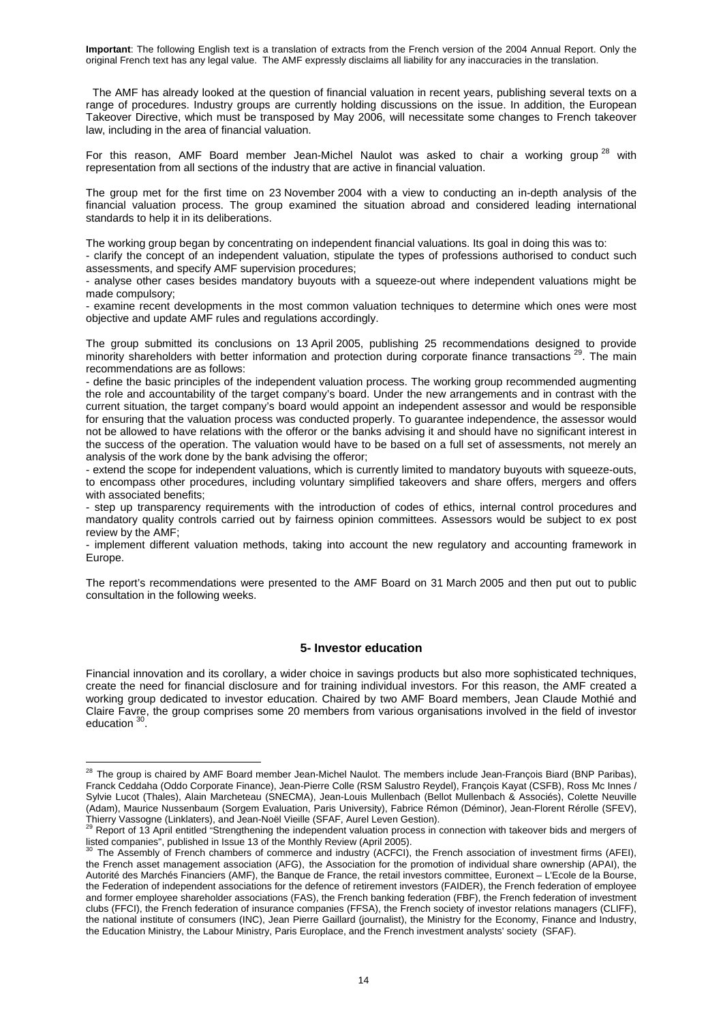The AMF has already looked at the question of financial valuation in recent years, publishing several texts on a range of procedures. Industry groups are currently holding discussions on the issue. In addition, the European Takeover Directive, which must be transposed by May 2006, will necessitate some changes to French takeover law, including in the area of financial valuation.

For this reason, AMF Board member Jean-Michel Naulot was asked to chair a working group<sup>28</sup> with representation from all sections of the industry that are active in financial valuation.

The group met for the first time on 23 November 2004 with a view to conducting an in-depth analysis of the financial valuation process. The group examined the situation abroad and considered leading international standards to help it in its deliberations.

The working group began by concentrating on independent financial valuations. Its goal in doing this was to:

- clarify the concept of an independent valuation, stipulate the types of professions authorised to conduct such assessments, and specify AMF supervision procedures;

- analyse other cases besides mandatory buyouts with a squeeze-out where independent valuations might be made compulsory;

- examine recent developments in the most common valuation techniques to determine which ones were most objective and update AMF rules and regulations accordingly.

The group submitted its conclusions on 13 April 2005, publishing 25 recommendations designed to provide minority shareholders with better information and protection during corporate finance transactions<sup>29</sup>. The main recommendations are as follows:

- define the basic principles of the independent valuation process. The working group recommended augmenting the role and accountability of the target company's board. Under the new arrangements and in contrast with the current situation, the target company's board would appoint an independent assessor and would be responsible for ensuring that the valuation process was conducted properly. To guarantee independence, the assessor would not be allowed to have relations with the offeror or the banks advising it and should have no significant interest in the success of the operation. The valuation would have to be based on a full set of assessments, not merely an analysis of the work done by the bank advising the offeror;

- extend the scope for independent valuations, which is currently limited to mandatory buyouts with squeeze-outs, to encompass other procedures, including voluntary simplified takeovers and share offers, mergers and offers with associated benefits;

- step up transparency requirements with the introduction of codes of ethics, internal control procedures and mandatory quality controls carried out by fairness opinion committees. Assessors would be subject to ex post review by the AMF;

- implement different valuation methods, taking into account the new regulatory and accounting framework in Europe.

The report's recommendations were presented to the AMF Board on 31 March 2005 and then put out to public consultation in the following weeks.

### **5- Investor education**

Financial innovation and its corollary, a wider choice in savings products but also more sophisticated techniques, create the need for financial disclosure and for training individual investors. For this reason, the AMF created a working group dedicated to investor education. Chaired by two AMF Board members, Jean Claude Mothié and Claire Favre, the group comprises some 20 members from various organisations involved in the field of investor education <sup>30</sup>.

<u>.</u>

<sup>&</sup>lt;sup>28</sup> The group is chaired by AMF Board member Jean-Michel Naulot. The members include Jean-François Biard (BNP Paribas), Franck Ceddaha (Oddo Corporate Finance), Jean-Pierre Colle (RSM Salustro Reydel), François Kayat (CSFB), Ross Mc Innes / Sylvie Lucot (Thales), Alain Marcheteau (SNECMA), Jean-Louis Mullenbach (Bellot Mullenbach & Associés), Colette Neuville (Adam), Maurice Nussenbaum (Sorgem Evaluation, Paris University), Fabrice Rémon (Déminor), Jean-Florent Rérolle (SFEV),

Thierry Vassogne (Linklaters), and Jean-Noël Vieille (SFAF, Aurel Leven Gestion).<br><sup>29</sup> Report of 13 April entitled "Strengthening the independent valuation process in connection with takeover bids and mergers of listed companies", published in Issue 13 of the Monthly Review (April 2005).

The Assembly of French chambers of commerce and industry (ACFCI), the French association of investment firms (AFEI), the French asset management association (AFG), the Association for the promotion of individual share ownership (APAI), the Autorité des Marchés Financiers (AMF), the Banque de France, the retail investors committee, Euronext – L'Ecole de la Bourse, the Federation of independent associations for the defence of retirement investors (FAIDER), the French federation of employee and former employee shareholder associations (FAS), the French banking federation (FBF), the French federation of investment clubs (FFCI), the French federation of insurance companies (FFSA), the French society of investor relations managers (CLIFF), the national institute of consumers (INC), Jean Pierre Gaillard (journalist), the Ministry for the Economy, Finance and Industry, the Education Ministry, the Labour Ministry, Paris Europlace, and the French investment analysts' society (SFAF).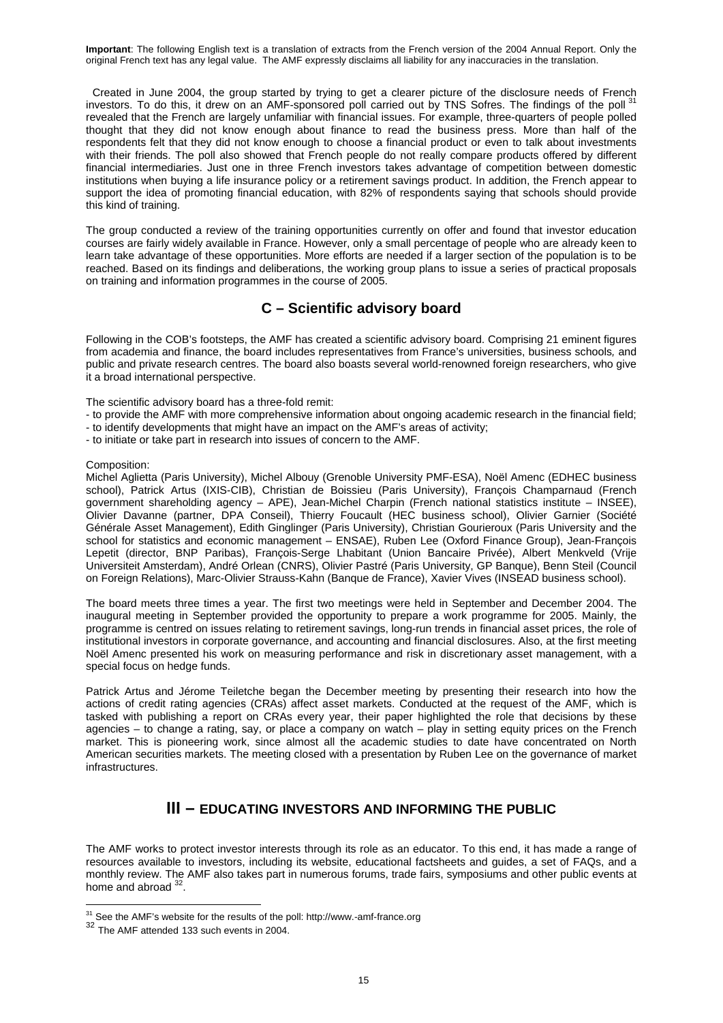Created in June 2004, the group started by trying to get a clearer picture of the disclosure needs of French investors. To do this, it drew on an AMF-sponsored poll carried out by TNS Sofres. The findings of the poll revealed that the French are largely unfamiliar with financial issues. For example, three-quarters of people polled thought that they did not know enough about finance to read the business press. More than half of the respondents felt that they did not know enough to choose a financial product or even to talk about investments with their friends. The poll also showed that French people do not really compare products offered by different financial intermediaries. Just one in three French investors takes advantage of competition between domestic institutions when buying a life insurance policy or a retirement savings product. In addition, the French appear to support the idea of promoting financial education, with 82% of respondents saying that schools should provide this kind of training.

The group conducted a review of the training opportunities currently on offer and found that investor education courses are fairly widely available in France. However, only a small percentage of people who are already keen to learn take advantage of these opportunities. More efforts are needed if a larger section of the population is to be reached. Based on its findings and deliberations, the working group plans to issue a series of practical proposals on training and information programmes in the course of 2005.

## **C – Scientific advisory board**

Following in the COB's footsteps, the AMF has created a scientific advisory board. Comprising 21 eminent figures from academia and finance, the board includes representatives from France's universities, business schools*,* and public and private research centres. The board also boasts several world-renowned foreign researchers, who give it a broad international perspective.

The scientific advisory board has a three-fold remit:

- to provide the AMF with more comprehensive information about ongoing academic research in the financial field;
- to identify developments that might have an impact on the AMF's areas of activity;
- to initiate or take part in research into issues of concern to the AMF.

#### Composition:

Michel Aglietta (Paris University), Michel Albouy (Grenoble University PMF-ESA), Noël Amenc (EDHEC business school), Patrick Artus (IXIS-CIB), Christian de Boissieu (Paris University), François Champarnaud (French government shareholding agency – APE), Jean-Michel Charpin (French national statistics institute – INSEE), Olivier Davanne (partner, DPA Conseil), Thierry Foucault (HEC business school), Olivier Garnier (Société Générale Asset Management), Edith Ginglinger (Paris University), Christian Gourieroux (Paris University and the school for statistics and economic management – ENSAE), Ruben Lee (Oxford Finance Group), Jean-François Lepetit (director, BNP Paribas), François-Serge Lhabitant (Union Bancaire Privée), Albert Menkveld (Vrije Universiteit Amsterdam), André Orlean (CNRS), Olivier Pastré (Paris University, GP Banque), Benn Steil (Council on Foreign Relations), Marc-Olivier Strauss-Kahn (Banque de France), Xavier Vives (INSEAD business school).

The board meets three times a year. The first two meetings were held in September and December 2004. The inaugural meeting in September provided the opportunity to prepare a work programme for 2005. Mainly, the programme is centred on issues relating to retirement savings, long-run trends in financial asset prices, the role of institutional investors in corporate governance, and accounting and financial disclosures. Also, at the first meeting Noël Amenc presented his work on measuring performance and risk in discretionary asset management, with a special focus on hedge funds.

Patrick Artus and Jérome Teiletche began the December meeting by presenting their research into how the actions of credit rating agencies (CRAs) affect asset markets. Conducted at the request of the AMF, which is tasked with publishing a report on CRAs every year, their paper highlighted the role that decisions by these agencies – to change a rating, say, or place a company on watch – play in setting equity prices on the French market. This is pioneering work, since almost all the academic studies to date have concentrated on North American securities markets. The meeting closed with a presentation by Ruben Lee on the governance of market infrastructures.

## **III – EDUCATING INVESTORS AND INFORMING THE PUBLIC**

The AMF works to protect investor interests through its role as an educator. To this end, it has made a range of resources available to investors, including its website, educational factsheets and guides, a set of FAQs, and a monthly review. The AMF also takes part in numerous forums, trade fairs, symposiums and other public events at home and abroad  $32$ .

<u>.</u>

 $31$  See the AMF's website for the results of the poll: http://www.-amf-france.org

<sup>32</sup> The AMF attended 133 such events in 2004.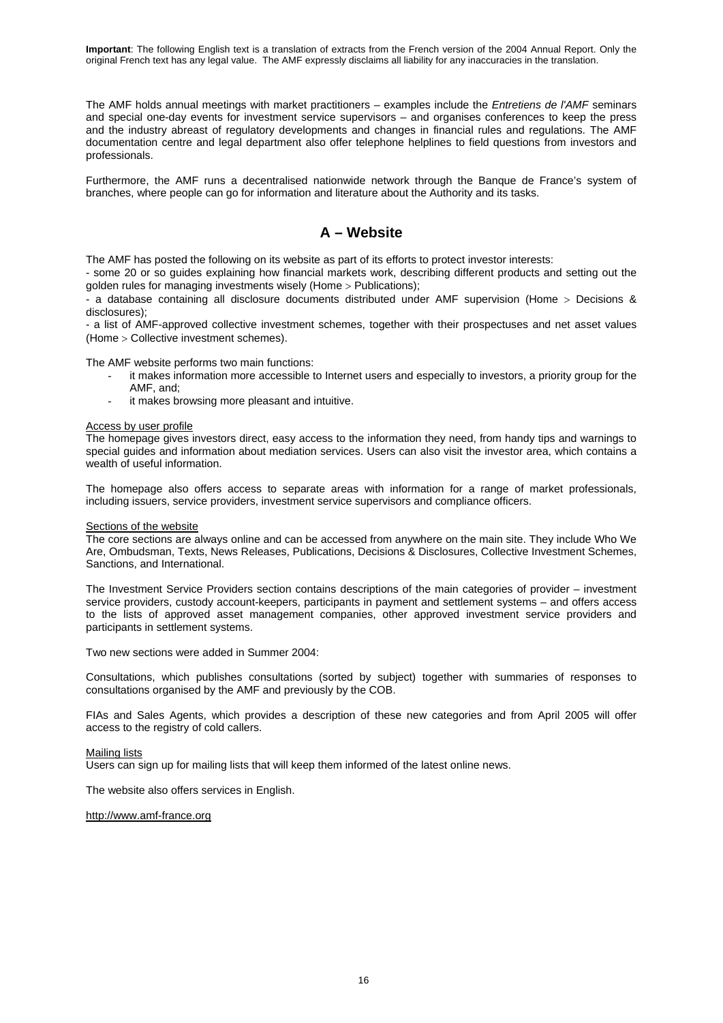The AMF holds annual meetings with market practitioners – examples include the *Entretiens de l'AMF* seminars and special one-day events for investment service supervisors – and organises conferences to keep the press and the industry abreast of regulatory developments and changes in financial rules and regulations. The AMF documentation centre and legal department also offer telephone helplines to field questions from investors and professionals.

Furthermore, the AMF runs a decentralised nationwide network through the Banque de France's system of branches, where people can go for information and literature about the Authority and its tasks.

## **A – Website**

The AMF has posted the following on its website as part of its efforts to protect investor interests:

- some 20 or so guides explaining how financial markets work, describing different products and setting out the golden rules for managing investments wisely (Home > Publications);

- a database containing all disclosure documents distributed under AMF supervision (Home > Decisions & disclosures);

- a list of AMF-approved collective investment schemes, together with their prospectuses and net asset values (Home > Collective investment schemes).

The AMF website performs two main functions:

- it makes information more accessible to Internet users and especially to investors, a priority group for the AMF, and;
- it makes browsing more pleasant and intuitive.

#### Access by user profile

The homepage gives investors direct, easy access to the information they need, from handy tips and warnings to special guides and information about mediation services. Users can also visit the investor area, which contains a wealth of useful information.

The homepage also offers access to separate areas with information for a range of market professionals, including issuers, service providers, investment service supervisors and compliance officers.

#### Sections of the website

The core sections are always online and can be accessed from anywhere on the main site. They include Who We Are, Ombudsman, Texts, News Releases, Publications, Decisions & Disclosures, Collective Investment Schemes, Sanctions, and International.

The Investment Service Providers section contains descriptions of the main categories of provider – investment service providers, custody account-keepers, participants in payment and settlement systems – and offers access to the lists of approved asset management companies, other approved investment service providers and participants in settlement systems.

Two new sections were added in Summer 2004:

Consultations, which publishes consultations (sorted by subject) together with summaries of responses to consultations organised by the AMF and previously by the COB.

FIAs and Sales Agents, which provides a description of these new categories and from April 2005 will offer access to the registry of cold callers.

#### Mailing lists

Users can sign up for mailing lists that will keep them informed of the latest online news.

The website also offers services in English.

#### http://www.amf-france.org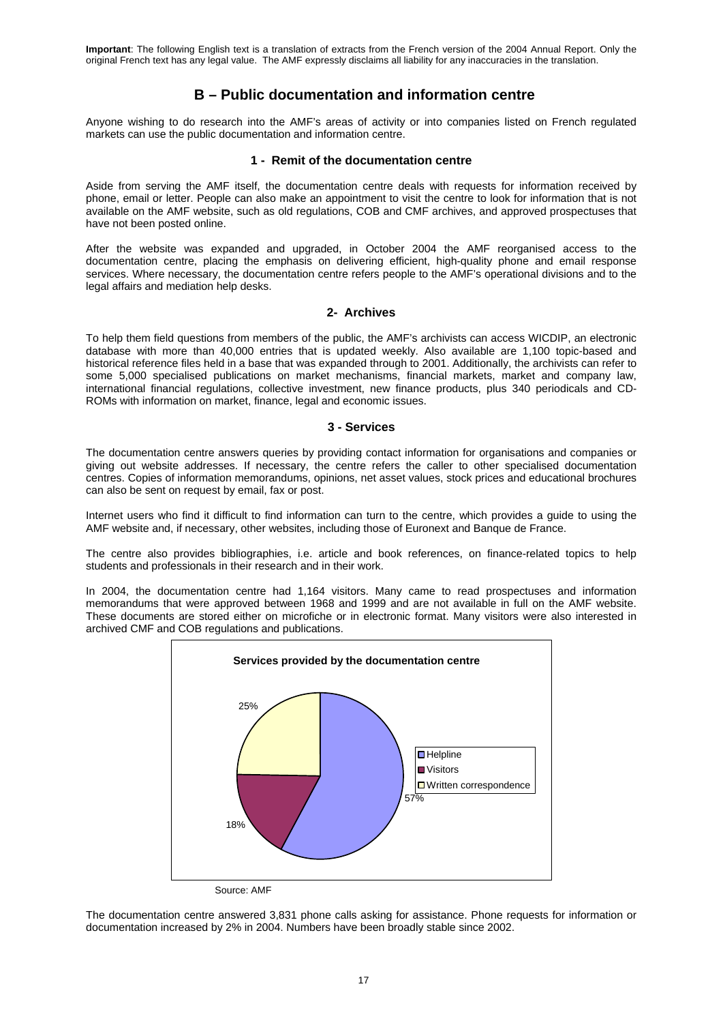## **B – Public documentation and information centre**

Anyone wishing to do research into the AMF's areas of activity or into companies listed on French regulated markets can use the public documentation and information centre.

### **1 - Remit of the documentation centre**

Aside from serving the AMF itself, the documentation centre deals with requests for information received by phone, email or letter. People can also make an appointment to visit the centre to look for information that is not available on the AMF website, such as old regulations, COB and CMF archives, and approved prospectuses that have not been posted online.

After the website was expanded and upgraded, in October 2004 the AMF reorganised access to the documentation centre, placing the emphasis on delivering efficient, high-quality phone and email response services. Where necessary, the documentation centre refers people to the AMF's operational divisions and to the legal affairs and mediation help desks.

## **2- Archives**

To help them field questions from members of the public, the AMF's archivists can access WICDIP, an electronic database with more than 40,000 entries that is updated weekly. Also available are 1,100 topic-based and historical reference files held in a base that was expanded through to 2001. Additionally, the archivists can refer to some 5,000 specialised publications on market mechanisms, financial markets, market and company law, international financial regulations, collective investment, new finance products, plus 340 periodicals and CD-ROMs with information on market, finance, legal and economic issues.

### **3 - Services**

The documentation centre answers queries by providing contact information for organisations and companies or giving out website addresses. If necessary, the centre refers the caller to other specialised documentation centres. Copies of information memorandums, opinions, net asset values, stock prices and educational brochures can also be sent on request by email, fax or post.

Internet users who find it difficult to find information can turn to the centre, which provides a guide to using the AMF website and, if necessary, other websites, including those of Euronext and Banque de France.

The centre also provides bibliographies, i.e. article and book references, on finance-related topics to help students and professionals in their research and in their work.

In 2004, the documentation centre had 1,164 visitors. Many came to read prospectuses and information memorandums that were approved between 1968 and 1999 and are not available in full on the AMF website. These documents are stored either on microfiche or in electronic format. Many visitors were also interested in archived CMF and COB regulations and publications.



Source: AMF

The documentation centre answered 3,831 phone calls asking for assistance. Phone requests for information or documentation increased by 2% in 2004. Numbers have been broadly stable since 2002.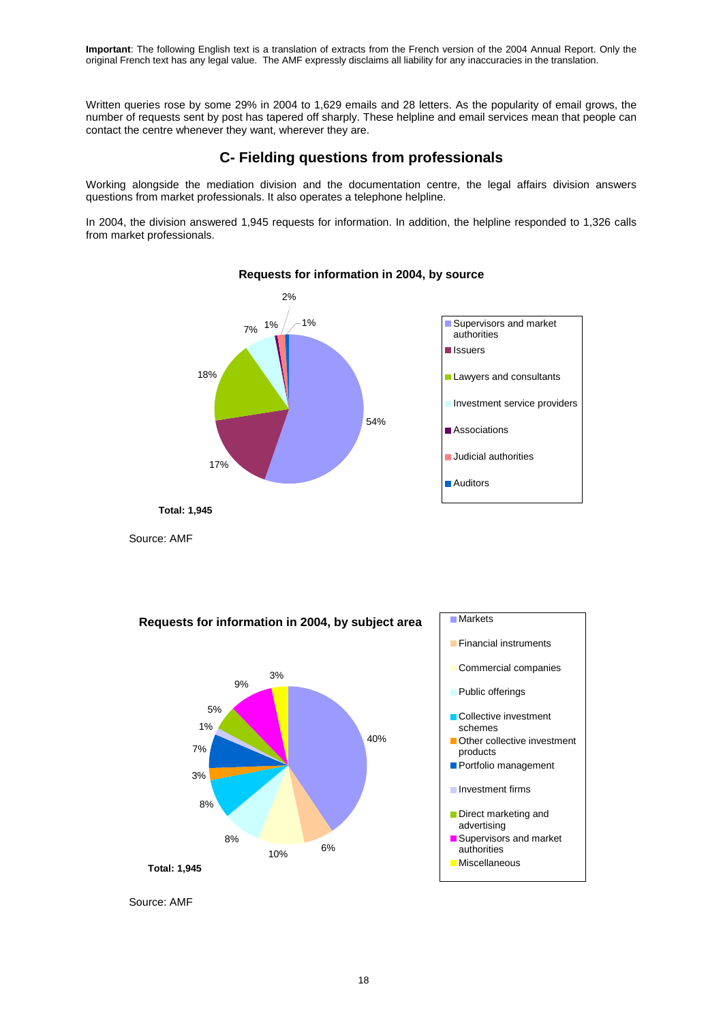Written queries rose by some 29% in 2004 to 1,629 emails and 28 letters. As the popularity of email grows, the number of requests sent by post has tapered off sharply. These helpline and email services mean that people can contact the centre whenever they want, wherever they are.

## **C- Fielding questions from professionals**

Working alongside the mediation division and the documentation centre, the legal affairs division answers questions from market professionals. It also operates a telephone helpline.

In 2004, the division answered 1,945 requests for information. In addition, the helpline responded to 1,326 calls from market professionals.



## **Requests for information in 2004, by source**

Source: AMF



Source: AMF